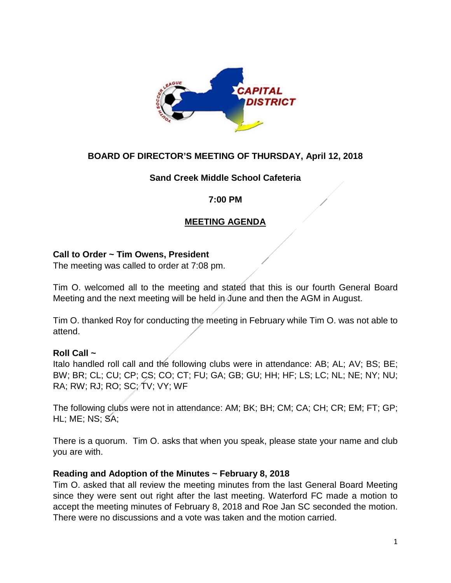

### **BOARD OF DIRECTOR'S MEETING OF THURSDAY, April 12, 2018**

### **Sand Creek Middle School Cafeteria**

### **7:00 PM**

## **MEETING AGENDA**

### **Call to Order ~ Tim Owens, President**

The meeting was called to order at 7:08 pm.

Tim O. welcomed all to the meeting and stated that this is our fourth General Board Meeting and the next meeting will be held in June and then the AGM in August.

Tim O. thanked Roy for conducting the meeting in February while Tim O. was not able to attend.

### **Roll Call ~**

Italo handled roll call and the following clubs were in attendance: AB; AL; AV; BS; BE; BW; BR; CL; CU; CP; CS; CO; CT; FU; GA; GB; GU; HH; HF; LS; LC; NL; NE; NY; NU; RA; RW; RJ; RO; SC; TV; VY; WF

The following clubs were not in attendance: AM; BK; BH; CM; CA; CH; CR; EM; FT; GP; HL; ME; NS; SA;

There is a quorum. Tim O. asks that when you speak, please state your name and club you are with.

### **Reading and Adoption of the Minutes ~ February 8, 2018**

Tim O. asked that all review the meeting minutes from the last General Board Meeting since they were sent out right after the last meeting. Waterford FC made a motion to accept the meeting minutes of February 8, 2018 and Roe Jan SC seconded the motion. There were no discussions and a vote was taken and the motion carried.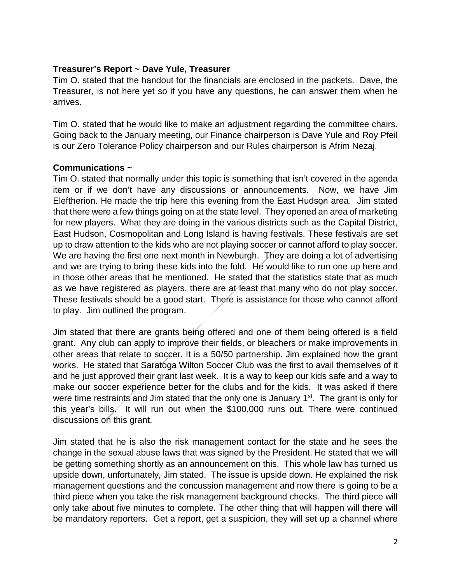#### **Treasurer's Report ~ Dave Yule, Treasurer**

Tim O. stated that the handout for the financials are enclosed in the packets. Dave, the Treasurer, is not here yet so if you have any questions, he can answer them when he arrives.

Tim O. stated that he would like to make an adjustment regarding the committee chairs. Going back to the January meeting, our Finance chairperson is Dave Yule and Roy Pfeil is our Zero Tolerance Policy chairperson and our Rules chairperson is Afrim Nezaj.

#### **Communications ~**

Tim O. stated that normally under this topic is something that isn't covered in the agenda item or if we don't have any discussions or announcements. Now, we have Jim Eleftherion. He made the trip here this evening from the East Hudson area. Jim stated that there were a few things going on at the state level. They opened an area of marketing for new players. What they are doing in the various districts such as the Capital District, East Hudson, Cosmopolitan and Long Island is having festivals. These festivals are set up to draw attention to the kids who are not playing soccer or cannot afford to play soccer. We are having the first one next month in Newburgh. They are doing a lot of advertising and we are trying to bring these kids into the fold. He would like to run one up here and in those other areas that he mentioned. He stated that the statistics state that as much as we have registered as players, there are at least that many who do not play soccer. These festivals should be a good start. There is assistance for those who cannot afford to play. Jim outlined the program.

Jim stated that there are grants being offered and one of them being offered is a field grant. Any club can apply to improve their fields, or bleachers or make improvements in other areas that relate to soccer. It is a 50/50 partnership. Jim explained how the grant works. He stated that Saratoga Wilton Soccer Club was the first to avail themselves of it and he just approved their grant last week. It is a way to keep our kids safe and a way to make our soccer experience better for the clubs and for the kids. It was asked if there were time restraints and Jim stated that the only one is January 1<sup>st</sup>. The grant is only for this year's bills. It will run out when the \$100,000 runs out. There were continued discussions on this grant.

Jim stated that he is also the risk management contact for the state and he sees the change in the sexual abuse laws that was signed by the President. He stated that we will be getting something shortly as an announcement on this. This whole law has turned us upside down, unfortunately, Jim stated. The issue is upside down. He explained the risk management questions and the concussion management and now there is going to be a third piece when you take the risk management background checks. The third piece will only take about five minutes to complete. The other thing that will happen will there will be mandatory reporters. Get a report, get a suspicion, they will set up a channel where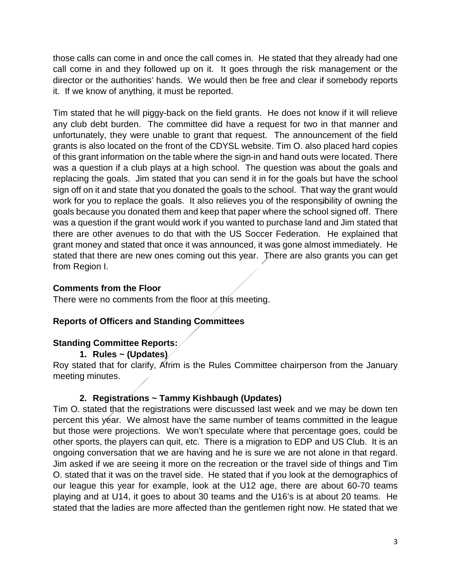those calls can come in and once the call comes in. He stated that they already had one call come in and they followed up on it. It goes through the risk management or the director or the authorities' hands. We would then be free and clear if somebody reports it. If we know of anything, it must be reported.

Tim stated that he will piggy-back on the field grants. He does not know if it will relieve any club debt burden. The committee did have a request for two in that manner and unfortunately, they were unable to grant that request. The announcement of the field grants is also located on the front of the CDYSL website. Tim O. also placed hard copies of this grant information on the table where the sign-in and hand outs were located. There was a question if a club plays at a high school. The question was about the goals and replacing the goals. Jim stated that you can send it in for the goals but have the school sign off on it and state that you donated the goals to the school. That way the grant would work for you to replace the goals. It also relieves you of the responsibility of owning the goals because you donated them and keep that paper where the school signed off. There was a question if the grant would work if you wanted to purchase land and Jim stated that there are other avenues to do that with the US Soccer Federation. He explained that grant money and stated that once it was announced, it was gone almost immediately. He stated that there are new ones coming out this year. There are also grants you can get from Region I.

### **Comments from the Floor**

There were no comments from the floor at this meeting.

## **Reports of Officers and Standing Committees**

### **Standing Committee Reports:**

**1. Rules ~ (Updates)**

Roy stated that for clarify, Afrim is the Rules Committee chairperson from the January meeting minutes.

### **2. Registrations ~ Tammy Kishbaugh (Updates)**

Tim O. stated that the registrations were discussed last week and we may be down ten percent this year. We almost have the same number of teams committed in the league but those were projections. We won't speculate where that percentage goes, could be other sports, the players can quit, etc. There is a migration to EDP and US Club. It is an ongoing conversation that we are having and he is sure we are not alone in that regard. Jim asked if we are seeing it more on the recreation or the travel side of things and Tim O. stated that it was on the travel side. He stated that if you look at the demographics of our league this year for example, look at the U12 age, there are about 60-70 teams playing and at U14, it goes to about 30 teams and the U16's is at about 20 teams. He stated that the ladies are more affected than the gentlemen right now. He stated that we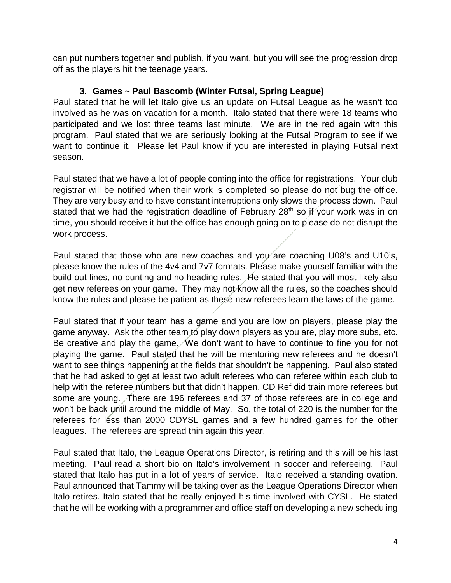can put numbers together and publish, if you want, but you will see the progression drop off as the players hit the teenage years.

## **3. Games ~ Paul Bascomb (Winter Futsal, Spring League)**

Paul stated that he will let Italo give us an update on Futsal League as he wasn't too involved as he was on vacation for a month. Italo stated that there were 18 teams who participated and we lost three teams last minute. We are in the red again with this program. Paul stated that we are seriously looking at the Futsal Program to see if we want to continue it. Please let Paul know if you are interested in playing Futsal next season.

Paul stated that we have a lot of people coming into the office for registrations. Your club registrar will be notified when their work is completed so please do not bug the office. They are very busy and to have constant interruptions only slows the process down. Paul stated that we had the registration deadline of February 28<sup>th</sup> so if your work was in on time, you should receive it but the office has enough going on to please do not disrupt the work process.

Paul stated that those who are new coaches and you are coaching U08's and U10's, please know the rules of the 4v4 and 7v7 formats. Please make yourself familiar with the build out lines, no punting and no heading rules. He stated that you will most likely also get new referees on your game. They may not know all the rules, so the coaches should know the rules and please be patient as these new referees learn the laws of the game.

Paul stated that if your team has a game and you are low on players, please play the game anyway. Ask the other team to play down players as you are, play more subs, etc. Be creative and play the game. We don't want to have to continue to fine you for not playing the game. Paul stated that he will be mentoring new referees and he doesn't want to see things happening at the fields that shouldn't be happening. Paul also stated that he had asked to get at least two adult referees who can referee within each club to help with the referee numbers but that didn't happen. CD Ref did train more referees but some are young. There are 196 referees and 37 of those referees are in college and won't be back until around the middle of May. So, the total of 220 is the number for the referees for less than 2000 CDYSL games and a few hundred games for the other leagues. The referees are spread thin again this year.

Paul stated that Italo, the League Operations Director, is retiring and this will be his last meeting. Paul read a short bio on Italo's involvement in soccer and refereeing. Paul stated that Italo has put in a lot of years of service. Italo received a standing ovation. Paul announced that Tammy will be taking over as the League Operations Director when Italo retires. Italo stated that he really enjoyed his time involved with CYSL. He stated that he will be working with a programmer and office staff on developing a new scheduling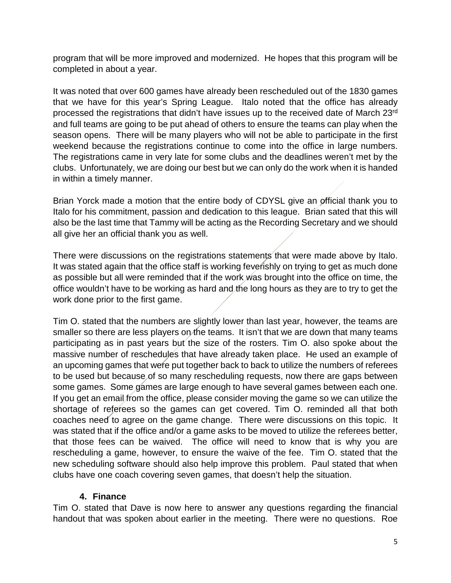program that will be more improved and modernized. He hopes that this program will be completed in about a year.

It was noted that over 600 games have already been rescheduled out of the 1830 games that we have for this year's Spring League. Italo noted that the office has already processed the registrations that didn't have issues up to the received date of March 23rd and full teams are going to be put ahead of others to ensure the teams can play when the season opens. There will be many players who will not be able to participate in the first weekend because the registrations continue to come into the office in large numbers. The registrations came in very late for some clubs and the deadlines weren't met by the clubs. Unfortunately, we are doing our best but we can only do the work when it is handed in within a timely manner.

Brian Yorck made a motion that the entire body of CDYSL give an official thank you to Italo for his commitment, passion and dedication to this league. Brian sated that this will also be the last time that Tammy will be acting as the Recording Secretary and we should all give her an official thank you as well.

There were discussions on the registrations statements that were made above by Italo. It was stated again that the office staff is working feverishly on trying to get as much done as possible but all were reminded that if the work was brought into the office on time, the office wouldn't have to be working as hard and the long hours as they are to try to get the work done prior to the first game.

Tim O. stated that the numbers are slightly lower than last year, however, the teams are smaller so there are less players on the teams. It isn't that we are down that many teams participating as in past years but the size of the rosters. Tim O. also spoke about the massive number of reschedules that have already taken place. He used an example of an upcoming games that were put together back to back to utilize the numbers of referees to be used but because of so many rescheduling requests, now there are gaps between some games. Some games are large enough to have several games between each one. If you get an email from the office, please consider moving the game so we can utilize the shortage of referees so the games can get covered. Tim O. reminded all that both coaches need to agree on the game change. There were discussions on this topic. It was stated that if the office and/or a game asks to be moved to utilize the referees better, that those fees can be waived. The office will need to know that is why you are rescheduling a game, however, to ensure the waive of the fee. Tim O. stated that the new scheduling software should also help improve this problem. Paul stated that when clubs have one coach covering seven games, that doesn't help the situation.

### **4. Finance**

Tim O. stated that Dave is now here to answer any questions regarding the financial handout that was spoken about earlier in the meeting. There were no questions. Roe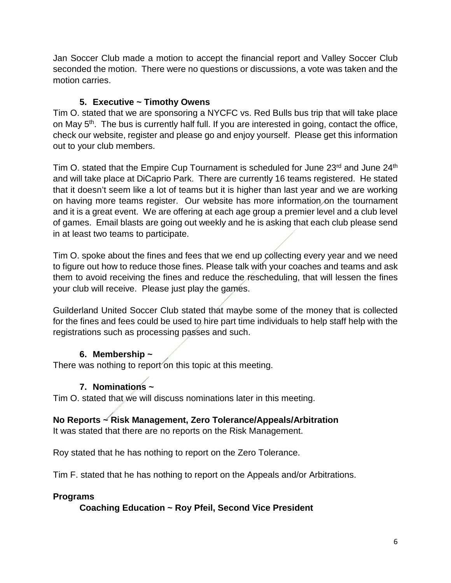Jan Soccer Club made a motion to accept the financial report and Valley Soccer Club seconded the motion. There were no questions or discussions, a vote was taken and the motion carries.

## **5. Executive ~ Timothy Owens**

Tim O. stated that we are sponsoring a NYCFC vs. Red Bulls bus trip that will take place on May 5<sup>th</sup>. The bus is currently half full. If you are interested in going, contact the office, check our website, register and please go and enjoy yourself. Please get this information out to your club members.

Tim O. stated that the Empire Cup Tournament is scheduled for June 23<sup>rd</sup> and June 24<sup>th</sup> and will take place at DiCaprio Park. There are currently 16 teams registered. He stated that it doesn't seem like a lot of teams but it is higher than last year and we are working on having more teams register. Our website has more information on the tournament and it is a great event. We are offering at each age group a premier level and a club level of games. Email blasts are going out weekly and he is asking that each club please send in at least two teams to participate.

Tim O. spoke about the fines and fees that we end up collecting every year and we need to figure out how to reduce those fines. Please talk with your coaches and teams and ask them to avoid receiving the fines and reduce the rescheduling, that will lessen the fines your club will receive. Please just play the games.

Guilderland United Soccer Club stated that maybe some of the money that is collected for the fines and fees could be used to hire part time individuals to help staff help with the registrations such as processing passes and such.

## **6. Membership ~**

There was nothing to report on this topic at this meeting.

# **7. Nominations ~**

Tim O. stated that we will discuss nominations later in this meeting.

## **No Reports ~ Risk Management, Zero Tolerance/Appeals/Arbitration**

It was stated that there are no reports on the Risk Management.

Roy stated that he has nothing to report on the Zero Tolerance.

Tim F. stated that he has nothing to report on the Appeals and/or Arbitrations.

## **Programs**

## **Coaching Education ~ Roy Pfeil, Second Vice President**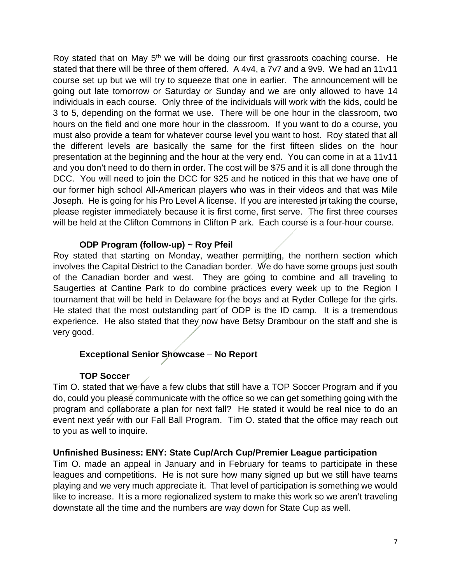Roy stated that on May  $5<sup>th</sup>$  we will be doing our first grassroots coaching course. He stated that there will be three of them offered. A 4v4, a 7v7 and a 9v9. We had an 11v11 course set up but we will try to squeeze that one in earlier. The announcement will be going out late tomorrow or Saturday or Sunday and we are only allowed to have 14 individuals in each course. Only three of the individuals will work with the kids, could be 3 to 5, depending on the format we use. There will be one hour in the classroom, two hours on the field and one more hour in the classroom. If you want to do a course, you must also provide a team for whatever course level you want to host. Roy stated that all the different levels are basically the same for the first fifteen slides on the hour presentation at the beginning and the hour at the very end. You can come in at a 11v11 and you don't need to do them in order. The cost will be \$75 and it is all done through the DCC. You will need to join the DCC for \$25 and he noticed in this that we have one of our former high school All-American players who was in their videos and that was Mile Joseph. He is going for his Pro Level A license. If you are interested in taking the course, please register immediately because it is first come, first serve. The first three courses will be held at the Clifton Commons in Clifton P ark. Each course is a four-hour course.

#### **ODP Program (follow-up) ~ Roy Pfeil**

Roy stated that starting on Monday, weather permitting, the northern section which involves the Capital District to the Canadian border. We do have some groups just south of the Canadian border and west. They are going to combine and all traveling to Saugerties at Cantine Park to do combine practices every week up to the Region I tournament that will be held in Delaware for the boys and at Ryder College for the girls. He stated that the most outstanding part of ODP is the ID camp. It is a tremendous experience. He also stated that they now have Betsy Drambour on the staff and she is very good.

### **Exceptional Senior Showcase** – **No Report**

### **TOP Soccer**

Tim O. stated that we have a few clubs that still have a TOP Soccer Program and if you do, could you please communicate with the office so we can get something going with the program and collaborate a plan for next fall? He stated it would be real nice to do an event next year with our Fall Ball Program. Tim O. stated that the office may reach out to you as well to inquire.

### **Unfinished Business: ENY: State Cup/Arch Cup/Premier League participation**

Tim O. made an appeal in January and in February for teams to participate in these leagues and competitions. He is not sure how many signed up but we still have teams playing and we very much appreciate it. That level of participation is something we would like to increase. It is a more regionalized system to make this work so we aren't traveling downstate all the time and the numbers are way down for State Cup as well.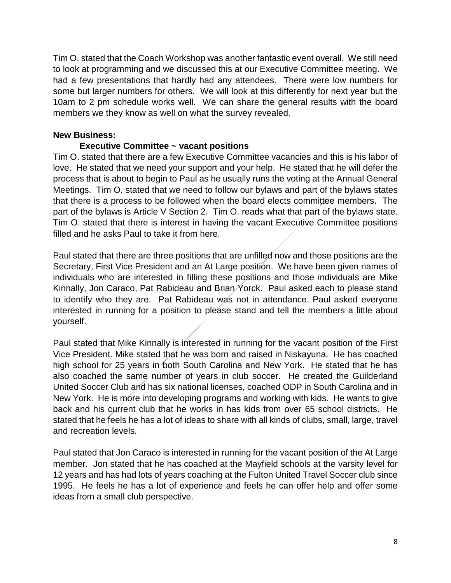Tim O. stated that the Coach Workshop was another fantastic event overall. We still need to look at programming and we discussed this at our Executive Committee meeting. We had a few presentations that hardly had any attendees. There were low numbers for some but larger numbers for others. We will look at this differently for next year but the 10am to 2 pm schedule works well. We can share the general results with the board members we they know as well on what the survey revealed.

#### **New Business:**

#### **Executive Committee ~ vacant positions**

Tim O. stated that there are a few Executive Committee vacancies and this is his labor of love. He stated that we need your support and your help. He stated that he will defer the process that is about to begin to Paul as he usually runs the voting at the Annual General Meetings. Tim O. stated that we need to follow our bylaws and part of the bylaws states that there is a process to be followed when the board elects committee members. The part of the bylaws is Article V Section 2. Tim O. reads what that part of the bylaws state. Tim O. stated that there is interest in having the vacant Executive Committee positions filled and he asks Paul to take it from here.

Paul stated that there are three positions that are unfilled now and those positions are the Secretary, First Vice President and an At Large position. We have been given names of individuals who are interested in filling these positions and those individuals are Mike Kinnally, Jon Caraco, Pat Rabideau and Brian Yorck. Paul asked each to please stand to identify who they are. Pat Rabideau was not in attendance. Paul asked everyone interested in running for a position to please stand and tell the members a little about yourself.

Paul stated that Mike Kinnally is interested in running for the vacant position of the First Vice President. Mike stated that he was born and raised in Niskayuna. He has coached high school for 25 years in both South Carolina and New York. He stated that he has also coached the same number of years in club soccer. He created the Guilderland United Soccer Club and has six national licenses, coached ODP in South Carolina and in New York. He is more into developing programs and working with kids. He wants to give back and his current club that he works in has kids from over 65 school districts. He stated that he feels he has a lot of ideas to share with all kinds of clubs, small, large, travel and recreation levels.

Paul stated that Jon Caraco is interested in running for the vacant position of the At Large member. Jon stated that he has coached at the Mayfield schools at the varsity level for 12 years and has had lots of years coaching at the Fulton United Travel Soccer club since 1995. He feels he has a lot of experience and feels he can offer help and offer some ideas from a small club perspective.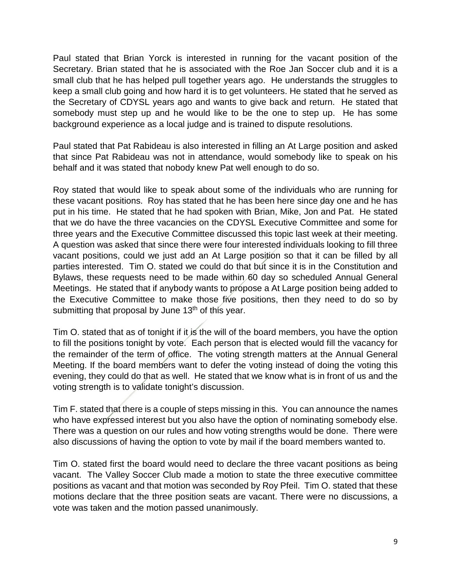Paul stated that Brian Yorck is interested in running for the vacant position of the Secretary. Brian stated that he is associated with the Roe Jan Soccer club and it is a small club that he has helped pull together years ago. He understands the struggles to keep a small club going and how hard it is to get volunteers. He stated that he served as the Secretary of CDYSL years ago and wants to give back and return. He stated that somebody must step up and he would like to be the one to step up. He has some background experience as a local judge and is trained to dispute resolutions.

Paul stated that Pat Rabideau is also interested in filling an At Large position and asked that since Pat Rabideau was not in attendance, would somebody like to speak on his behalf and it was stated that nobody knew Pat well enough to do so.

Roy stated that would like to speak about some of the individuals who are running for these vacant positions. Roy has stated that he has been here since day one and he has put in his time. He stated that he had spoken with Brian, Mike, Jon and Pat. He stated that we do have the three vacancies on the CDYSL Executive Committee and some for three years and the Executive Committee discussed this topic last week at their meeting. A question was asked that since there were four interested individuals looking to fill three vacant positions, could we just add an At Large position so that it can be filled by all parties interested. Tim O. stated we could do that but since it is in the Constitution and Bylaws, these requests need to be made within 60 day so scheduled Annual General Meetings. He stated that if anybody wants to propose a At Large position being added to the Executive Committee to make those five positions, then they need to do so by submitting that proposal by June  $13<sup>th</sup>$  of this year.

Tim O. stated that as of tonight if it is the will of the board members, you have the option to fill the positions tonight by vote. Each person that is elected would fill the vacancy for the remainder of the term of office. The voting strength matters at the Annual General Meeting. If the board members want to defer the voting instead of doing the voting this evening, they could do that as well. He stated that we know what is in front of us and the voting strength is to validate tonight's discussion.

Tim F. stated that there is a couple of steps missing in this. You can announce the names who have expressed interest but you also have the option of nominating somebody else. There was a question on our rules and how voting strengths would be done. There were also discussions of having the option to vote by mail if the board members wanted to.

Tim O. stated first the board would need to declare the three vacant positions as being vacant. The Valley Soccer Club made a motion to state the three executive committee positions as vacant and that motion was seconded by Roy Pfeil. Tim O. stated that these motions declare that the three position seats are vacant. There were no discussions, a vote was taken and the motion passed unanimously.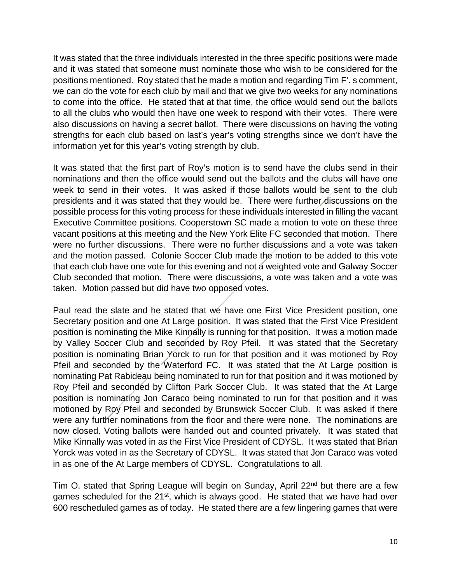It was stated that the three individuals interested in the three specific positions were made and it was stated that someone must nominate those who wish to be considered for the positions mentioned. Roy stated that he made a motion and regarding Tim F'. s comment, we can do the vote for each club by mail and that we give two weeks for any nominations to come into the office. He stated that at that time, the office would send out the ballots to all the clubs who would then have one week to respond with their votes. There were also discussions on having a secret ballot. There were discussions on having the voting strengths for each club based on last's year's voting strengths since we don't have the information yet for this year's voting strength by club.

It was stated that the first part of Roy's motion is to send have the clubs send in their nominations and then the office would send out the ballots and the clubs will have one week to send in their votes. It was asked if those ballots would be sent to the club presidents and it was stated that they would be. There were further discussions on the possible process for this voting process for these individuals interested in filling the vacant Executive Committee positions. Cooperstown SC made a motion to vote on these three vacant positions at this meeting and the New York Elite FC seconded that motion. There were no further discussions. There were no further discussions and a vote was taken and the motion passed. Colonie Soccer Club made the motion to be added to this vote that each club have one vote for this evening and not a weighted vote and Galway Soccer Club seconded that motion. There were discussions, a vote was taken and a vote was taken. Motion passed but did have two opposed votes.

Paul read the slate and he stated that we have one First Vice President position, one Secretary position and one At Large position. It was stated that the First Vice President position is nominating the Mike Kinnally is running for that position. It was a motion made by Valley Soccer Club and seconded by Roy Pfeil. It was stated that the Secretary position is nominating Brian Yorck to run for that position and it was motioned by Roy Pfeil and seconded by the Waterford FC. It was stated that the At Large position is nominating Pat Rabideau being nominated to run for that position and it was motioned by Roy Pfeil and seconded by Clifton Park Soccer Club. It was stated that the At Large position is nominating Jon Caraco being nominated to run for that position and it was motioned by Roy Pfeil and seconded by Brunswick Soccer Club. It was asked if there were any further nominations from the floor and there were none. The nominations are now closed. Voting ballots were handed out and counted privately. It was stated that Mike Kinnally was voted in as the First Vice President of CDYSL. It was stated that Brian Yorck was voted in as the Secretary of CDYSL. It was stated that Jon Caraco was voted in as one of the At Large members of CDYSL. Congratulations to all.

Tim O. stated that Spring League will begin on Sunday, April 22<sup>nd</sup> but there are a few games scheduled for the  $21<sup>st</sup>$ , which is always good. He stated that we have had over 600 rescheduled games as of today. He stated there are a few lingering games that were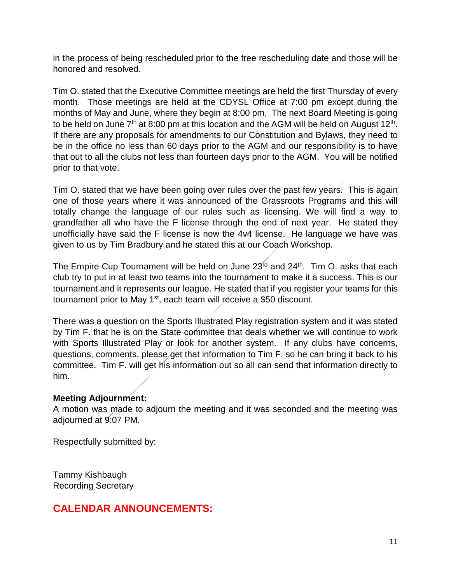in the process of being rescheduled prior to the free rescheduling date and those will be honored and resolved.

Tim O. stated that the Executive Committee meetings are held the first Thursday of every month. Those meetings are held at the CDYSL Office at 7:00 pm except during the months of May and June, where they begin at 8:00 pm. The next Board Meeting is going to be held on June  $7<sup>th</sup>$  at 8:00 pm at this location and the AGM will be held on August 12<sup>th</sup>. If there are any proposals for amendments to our Constitution and Bylaws, they need to be in the office no less than 60 days prior to the AGM and our responsibility is to have that out to all the clubs not less than fourteen days prior to the AGM. You will be notified prior to that vote.

Tim O. stated that we have been going over rules over the past few years. This is again one of those years where it was announced of the Grassroots Programs and this will totally change the language of our rules such as licensing. We will find a way to grandfather all who have the F license through the end of next year. He stated they unofficially have said the F license is now the 4v4 license. He language we have was given to us by Tim Bradbury and he stated this at our Coach Workshop.

The Empire Cup Tournament will be held on June 23<sup>rd</sup> and 24<sup>th</sup>. Tim O. asks that each club try to put in at least two teams into the tournament to make it a success. This is our tournament and it represents our league. He stated that if you register your teams for this tournament prior to May 1<sup>st</sup>, each team will receive a \$50 discount.

There was a question on the Sports Illustrated Play registration system and it was stated by Tim F. that he is on the State committee that deals whether we will continue to work with Sports Illustrated Play or look for another system. If any clubs have concerns, questions, comments, please get that information to Tim F. so he can bring it back to his committee. Tim F. will get his information out so all can send that information directly to him.

#### **Meeting Adjournment:**

A motion was made to adjourn the meeting and it was seconded and the meeting was adjourned at 9:07 PM.

Respectfully submitted by:

Tammy Kishbaugh Recording Secretary

# **CALENDAR ANNOUNCEMENTS:**